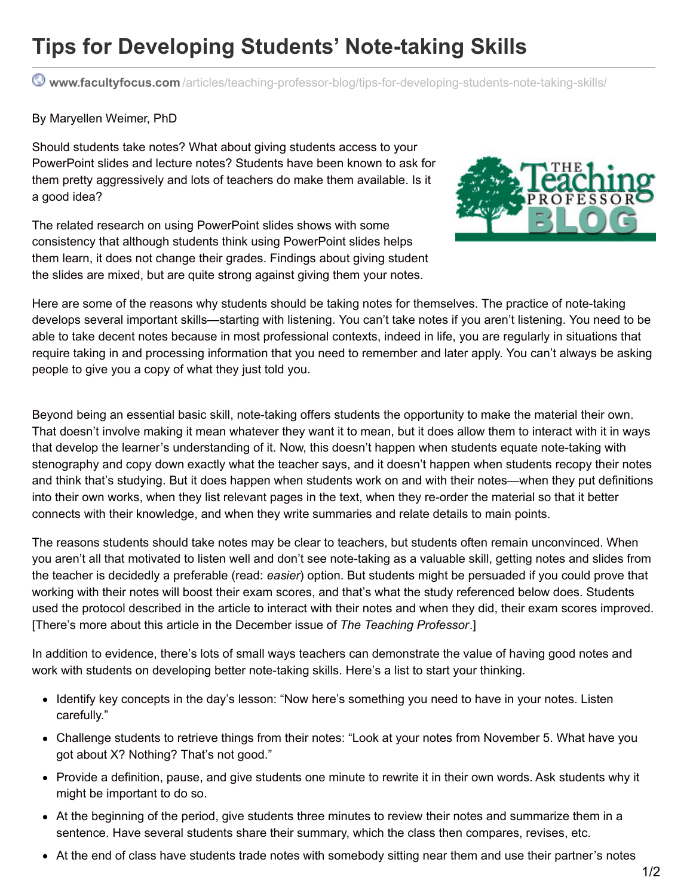## **Tips for Developing Students' Note-taking Skills**

**www.facultyfocus.com** [/articles/teaching-professor-blog/tips-for-developing-students-note-taking-skills/](http://www.facultyfocus.com/articles/teaching-professor-blog/tips-for-developing-students-note-taking-skills/?utm_campaign=shareaholic&utm_medium=printfriendly&utm_source=tool)

## By Maryellen Weimer, PhD

Should students take notes? What about giving students access to your PowerPoint slides and lecture notes? Students have been known to ask for them pretty aggressively and lots of teachers do make them available. Is it a good idea?

The related research on using PowerPoint slides shows with some consistency that although students think using PowerPoint slides helps them learn, it does not change their grades. Findings about giving student the slides are mixed, but are quite strong against giving them your notes.



Here are some of the reasons why students should be taking notes for themselves. The practice of note-taking develops several important skills—starting with listening. You can't take notes if you aren't listening. You need to be able to take decent notes because in most professional contexts, indeed in life, you are regularly in situations that require taking in and processing information that you need to remember and later apply. You can't always be asking people to give you a copy of what they just told you.

Beyond being an essential basic skill, note-taking offers students the opportunity to make the material their own. That doesn't involve making it mean whatever they want it to mean, but it does allow them to interact with it in ways that develop the learner's understanding of it. Now, this doesn't happen when students equate note-taking with stenography and copy down exactly what the teacher says, and it doesn't happen when students recopy their notes and think that's studying. But it does happen when students work on and with their notes—when they put definitions into their own works, when they list relevant pages in the text, when they re-order the material so that it better connects with their knowledge, and when they write summaries and relate details to main points.

The reasons students should take notes may be clear to teachers, but students often remain unconvinced. When you aren't all that motivated to listen well and don't see note-taking as a valuable skill, getting notes and slides from the teacher is decidedly a preferable (read: *easier*) option. But students might be persuaded if you could prove that working with their notes will boost their exam scores, and that's what the study referenced below does. Students used the protocol described in the article to interact with their notes and when they did, their exam scores improved. [There's more about this article in the December issue of *The Teaching Professor*.]

In addition to evidence, there's lots of small ways teachers can demonstrate the value of having good notes and work with students on developing better note-taking skills. Here's a list to start your thinking.

- Identify key concepts in the day's lesson: "Now here's something you need to have in your notes. Listen carefully."
- Challenge students to retrieve things from their notes: "Look at your notes from November 5. What have you got about X? Nothing? That's not good."
- Provide a definition, pause, and give students one minute to rewrite it in their own words. Ask students why it might be important to do so.
- At the beginning of the period, give students three minutes to review their notes and summarize them in a sentence. Have several students share their summary, which the class then compares, revises, etc.
- At the end of class have students trade notes with somebody sitting near them and use their partner's notes